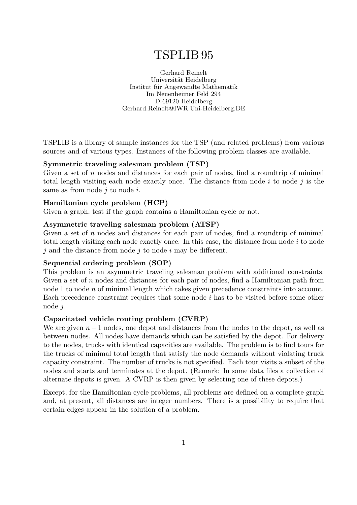# TSPLIB 95

Gerhard Reinelt Universität Heidelberg Institut für Angewandte Mathematik Im Neuenheimer Feld 294 D-69120 Heidelberg Gerhard.Reinelt@IWR.Uni-Heidelberg.DE

TSPLIB is a library of sample instances for the TSP (and related problems) from various sources and of various types. Instances of the following problem classes are available.

### Symmetric traveling salesman problem (TSP)

Given a set of  $n$  nodes and distances for each pair of nodes, find a roundtrip of minimal total length visiting each node exactly once. The distance from node  $i$  to node  $j$  is the same as from node  $j$  to node  $i$ .

### Hamiltonian cycle problem (HCP)

Given a graph, test if the graph contains a Hamiltonian cycle or not.

### Asymmetric traveling salesman problem (ATSP)

Given a set of  $n$  nodes and distances for each pair of nodes, find a roundtrip of minimal total length visiting each node exactly once. In this case, the distance from node i to node j and the distance from node j to node i may be different.

### Sequential ordering problem (SOP)

This problem is an asymmetric traveling salesman problem with additional constraints. Given a set of n nodes and distances for each pair of nodes, find a Hamiltonian path from node 1 to node *n* of minimal length which takes given precedence constraints into account. Each precedence constraint requires that some node i has to be visited before some other node j.

### Capacitated vehicle routing problem (CVRP)

We are given  $n-1$  nodes, one depot and distances from the nodes to the depot, as well as between nodes. All nodes have demands which can be satisfied by the depot. For delivery to the nodes, trucks with identical capacities are available. The problem is to find tours for the trucks of minimal total length that satisfy the node demands without violating truck capacity constraint. The number of trucks is not specified. Each tour visits a subset of the nodes and starts and terminates at the depot. (Remark: In some data files a collection of alternate depots is given. A CVRP is then given by selecting one of these depots.)

Except, for the Hamiltonian cycle problems, all problems are defined on a complete graph and, at present, all distances are integer numbers. There is a possibility to require that certain edges appear in the solution of a problem.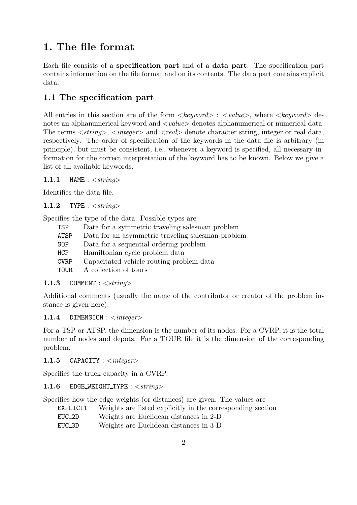## 1. The file format

Each file consists of a specification part and of a data part. The specification part contains information on the file format and on its contents. The data part contains explicit data.

## 1.1 The specification part

All entries in this section are of the form  $\langle keyword \rangle$ :  $\langle value \rangle$ , where  $\langle keyword \rangle$  denotes an alphanumerical keyword and  $\langle value \rangle$  denotes alphanumerical or numerical data. The terms  $\langle string \rangle$ ,  $\langle integr \rangle$  and  $\langle real \rangle$  denote character string, integer or real data, respectively. The order of specification of the keywords in the data file is arbitrary (in principle), but must be consistent, i.e., whenever a keyword is specified, all necessary information for the correct interpretation of the keyword has to be known. Below we give a list of all available keywords.

1.1.1 NAME :  $\langle$ string>

Identifies the data file.

1.1.2 TYPE :  $\langle$ string>

Specifies the type of the data. Possible types are

| Data for a symmetric traveling salesman problem   |
|---------------------------------------------------|
| Data for an asymmetric traveling salesman problem |
| Data for a sequential ordering problem            |
| Hamiltonian cycle problem data                    |
| Capacitated vehicle routing problem data          |
| A collection of tours                             |
|                                                   |

### 1.1.3 COMMENT :  $\langle$ string>

Additional comments (usually the name of the contributor or creator of the problem instance is given here).

#### 1.1.4 DIMENSION :  $\langle$  integer>

For a TSP or ATSP, the dimension is the number of its nodes. For a CVRP, it is the total number of nodes and depots. For a TOUR file it is the dimension of the corresponding problem.

1.1.5 CAPACITY :  $\langle$  integer>

Specifies the truck capacity in a CVRP.

1.1.6 EDGE\_WEIGHT\_TYPE :  $\langle$ string>

Specifies how the edge weights (or distances) are given. The values are

- EXPLICIT Weights are listed explicitly in the corresponding section
- EUC 2D Weights are Euclidean distances in 2-D
- EUC 3D Weights are Euclidean distances in 3-D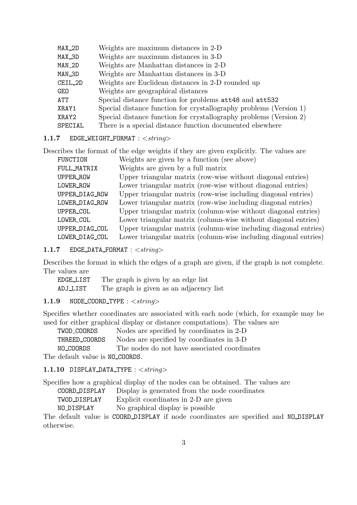| MAX_2D  | Weights are maximum distances in 2-D                               |
|---------|--------------------------------------------------------------------|
| MAX_3D  | Weights are maximum distances in 3-D                               |
| MAN_2D  | Weights are Manhattan distances in 2-D                             |
| MAN_3D  | Weights are Manhattan distances in 3-D                             |
| CEIL_2D | Weights are Euclidean distances in 2-D rounded up                  |
| GEO     | Weights are geographical distances                                 |
| ATT     | Special distance function for problems att48 and att532            |
| XRAY1   | Special distance function for crystallography problems (Version 1) |
| XRAY2   | Special distance function for crystallography problems (Version 2) |
| SPECIAL | There is a special distance function documented elsewhere          |

### 1.1.7 EDGE\_WEIGHT\_FORMAT :  $\langle$ string>

|                 | Describes the format of the edge weights if they are given explicitly. The values are |
|-----------------|---------------------------------------------------------------------------------------|
| <b>FUNCTION</b> | Weights are given by a function (see above)                                           |
| FULL_MATRIX     | Weights are given by a full matrix                                                    |
| UPPER_ROW       | Upper triangular matrix (row-wise without diagonal entries)                           |
| LOWER_ROW       | Lower triangular matrix (row-wise without diagonal entries)                           |
| UPPER_DIAG_ROW  | Upper triangular matrix (row-wise including diagonal entries)                         |
| LOWER_DIAG_ROW  | Lower triangular matrix (row-wise including diagonal entries)                         |
| UPPER_COL       | Upper triangular matrix (column-wise without diagonal entries)                        |
| LOWER_COL       | Lower triangular matrix (column-wise without diagonal entries)                        |
| UPPER_DIAG_COL  | Upper triangular matrix (column-wise including diagonal entries)                      |
| LOWER_DIAG_COL  | Lower triangular matrix (column-wise including diagonal entries)                      |

#### 1.1.7 EDGE\_DATA\_FORMAT :  $\langle$ string>

Describes the format in which the edges of a graph are given, if the graph is not complete. The values are

| EDGE_LIST | The graph is given by an edge list      |
|-----------|-----------------------------------------|
| ADJ_LIST  | The graph is given as an adjacency list |

### 1.1.9 NODE\_COORD\_TYPE :  $\langle$ string>

Specifies whether coordinates are associated with each node (which, for example may be used for either graphical display or distance computations). The values are

| TWOD_COORDS   | Nodes are specified by coordinates in 2-D    |
|---------------|----------------------------------------------|
| THREED_COORDS | Nodes are specified by coordinates in 3-D    |
| NO_COORDS     | The nodes do not have associated coordinates |
|               |                                              |

The default value is NO COORDS.

### 1.1.10 DISPLAY\_DATA\_TYPE :  $\langle$ string>

Specifies how a graphical display of the nodes can be obtained. The values are

| COORD_DISPLAY |  |  | Display is generated from the node coordinates |
|---------------|--|--|------------------------------------------------|
|               |  |  |                                                |

TWOD DISPLAY Explicit coordinates in 2-D are given

NO DISPLAY No graphical display is possible

The default value is COORD DISPLAY if node coordinates are specified and NO DISPLAY otherwise.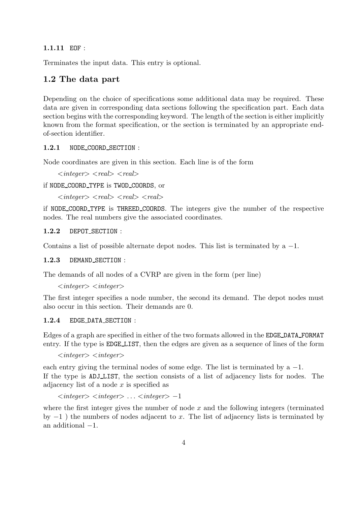#### 1.1.11 EOF :

Terminates the input data. This entry is optional.

### 1.2 The data part

Depending on the choice of specifications some additional data may be required. These data are given in corresponding data sections following the specification part. Each data section begins with the corresponding keyword. The length of the section is either implicitly known from the format specification, or the section is terminated by an appropriate endof-section identifier.

### 1.2.1 NODE COORD SECTION :

Node coordinates are given in this section. Each line is of the form

```
\langleinteger\rangle\langlereal\rangle\langlereal\rangle
```
if NODE COORD TYPE is TWOD COORDS, or

 $\langle$  integer $\rangle$   $\langle$  real $\rangle$   $\langle$  real $\rangle$ 

if NODE COORD TYPE is THREED COORDS. The integers give the number of the respective nodes. The real numbers give the associated coordinates.

#### 1.2.2 DEPOT SECTION :

Contains a list of possible alternate depot nodes. This list is terminated by  $a - 1$ .

#### 1.2.3 DEMAND SECTION :

The demands of all nodes of a CVRP are given in the form (per line)

 $\langle$ integer $\rangle$  $\langle$ integer $\rangle$ 

The first integer specifies a node number, the second its demand. The depot nodes must also occur in this section. Their demands are 0.

#### 1.2.4 EDGE DATA SECTION :

Edges of a graph are specified in either of the two formats allowed in the EDGE DATA FORMAT entry. If the type is EDGE LIST, then the edges are given as a sequence of lines of the form

 $\langle$ integer $>$  $\langle$ integer $>$ 

each entry giving the terminal nodes of some edge. The list is terminated by a  $-1$ . If the type is ADJ LIST, the section consists of a list of adjacency lists for nodes. The adjacency list of a node  $x$  is specified as

```
<integer> <integer> . . . <integer> −1
```
where the first integer gives the number of node  $x$  and the following integers (terminated by  $-1$ ) the numbers of nodes adjacent to x. The list of adjacency lists is terminated by an additional −1.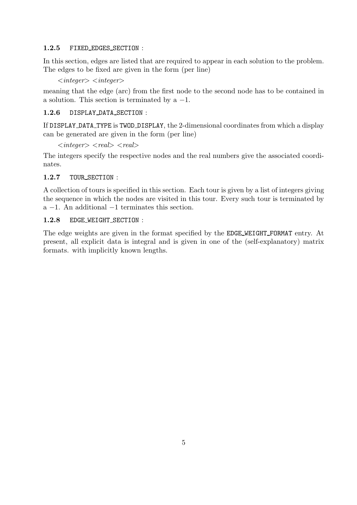### 1.2.5 FIXED EDGES SECTION :

In this section, edges are listed that are required to appear in each solution to the problem. The edges to be fixed are given in the form (per line)

 $\langle$ integer $>$  $\langle$ integer $>$ 

meaning that the edge (arc) from the first node to the second node has to be contained in a solution. This section is terminated by  $a - 1$ .

### 1.2.6 DISPLAY DATA SECTION :

If DISPLAY DATA TYPE is TWOD DISPLAY, the 2-dimensional coordinates from which a display can be generated are given in the form (per line)

 $\langle$ integer $\rangle$  $\langle$ real $\rangle$  $\langle$ real $\rangle$ 

The integers specify the respective nodes and the real numbers give the associated coordinates.

### 1.2.7 TOUR SECTION :

A collection of tours is specified in this section. Each tour is given by a list of integers giving the sequence in which the nodes are visited in this tour. Every such tour is terminated by a −1. An additional −1 terminates this section.

### 1.2.8 EDGE WEIGHT SECTION :

The edge weights are given in the format specified by the EDGE WEIGHT FORMAT entry. At present, all explicit data is integral and is given in one of the (self-explanatory) matrix formats. with implicitly known lengths.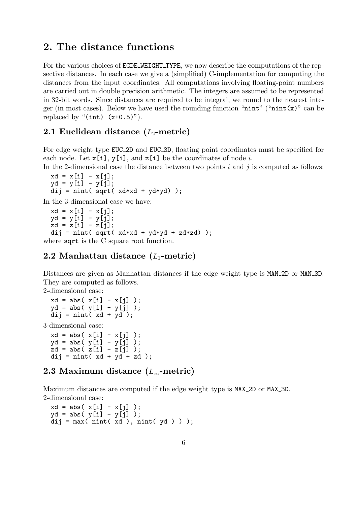## 2. The distance functions

For the various choices of EGDE WEIGHT TYPE, we now describe the computations of the repsective distances. In each case we give a (simplified) C-implementation for computing the distances from the input coordinates. All computations involving floating-point numbers are carried out in double precision arithmetic. The integers are assumed to be represented in 32-bit words. Since distances are required to be integral, we round to the nearest integer (in most cases). Below we have used the rounding function " $\text{nint}'$ " (" $\text{nint}(x)$ " can be replaced by " $(int)$   $(x+0.5)$ ").

## 2.1 Euclidean distance  $(L_2$ -metric)

For edge weight type EUC 2D and EUC 3D, floating point coordinates must be specified for each node. Let  $x[i], y[i],$  and  $z[i]$  be the coordinates of node i.

In the 2-dimensional case the distance between two points  $i$  and  $j$  is computed as follows:  $xd = x[i] - x[j];$ 

```
yd = y[i] - y[j];dij = nint(sqrt(c x dx + y dy));
```
In the 3-dimensional case we have:

```
xd = x[i] - x[j];yd = y[i] - y[j];
  zd = z[i] - z[j];
  dij = nint( sqrt( xd*xd + yd*yd + zd*zd) );
where sqrt is the C square root function.
```
### 2.2 Manhattan distance  $(L_1\text{-metric})$

Distances are given as Manhattan distances if the edge weight type is MAN 2D or MAN 3D. They are computed as follows.

2-dimensional case:

 $xd = abs(x[i] - x[j])$ ;  $yd = abs(y[i] - y[j])$ ; dij =  $nint( xd + yd)$ ;

3-dimensional case:

 $xd = abs(x[i] - x[j])$ ; yd = abs( y[i] - y[j] );  $zd = abs( z[i] - z[j])$ ; dij =  $nint( xd + yd + zd)$ ;

### 2.3 Maximum distance ( $L_{\infty}$ -metric)

Maximum distances are computed if the edge weight type is MAX 2D or MAX 3D. 2-dimensional case:

 $xd = abs(x[i] - x[j])$ ;  $yd = abs(y[i] - y[j])$ ; dij =  $max($  nint(  $xd$  ), nint(  $yd$  ) ) );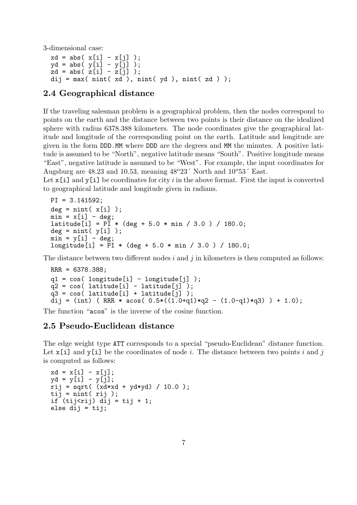3-dimensional case:

```
xd = abs(x[i] - x[j]);
yd = abs(y[i] - y[j]);
zd = abs( z[i] - z[j] );
dij = max( nint( xd ), nint( yd ), nint( zd ) );
```
## 2.4 Geographical distance

If the traveling salesman problem is a geographical problem, then the nodes correspond to points on the earth and the distance between two points is their distance on the idealized sphere with radius 6378.388 kilometers. The node coordinates give the geographical latitude and longitude of the corresponding point on the earth. Latitude and longitude are given in the form DDD.MM where DDD are the degrees and MM the minutes. A positive latitude is assumed to be "North", negative latitude means "South". Positive longitude means "East", negative latitude is assumed to be "West". For example, the input coordinates for Augsburg are  $48.23$  and  $10.53$ , meaning  $48^{\circ}23'$  North and  $10^{\circ}53'$  East.

Let  $x[i]$  and  $y[i]$  be coordinates for city i in the above format. First the input is converted to geographical latitude and longitude given in radians.

```
PI = 3.141592;
deg = nint( x[i]);
min = x[i] - deg;latitude[i] = \overline{PI} * (deg + 5.0 * min / 3.0 ) / 180.0;
deg = nint(y[i]);
min = y[i] - deg;longitude[i] = PI * (deg + 5.0 * min / 3.0 ) / 180.0;
```
The distance between two different nodes  $i$  and  $j$  in kilometers is then computed as follows:

```
RRR = 6378.388;
q1 = cos( longitude[i] - longitude[j] );
q2 = cos( latitude[i] - latitude[j] );
q3 = cos( latitude[i] + latitude[j] );
\overline{di} = (int) (RRR * acos( 0.5*((1.0+q1)*q2 - (1.0-q1)*q3) ) + 1.0);
```
The function "acos" is the inverse of the cosine function.

### 2.5 Pseudo-Euclidean distance

The edge weight type ATT corresponds to a special "pseudo-Euclidean" distance function. Let  $x[i]$  and  $y[i]$  be the coordinates of node i. The distance between two points i and j is computed as follows:

```
xd = x[i] - x[j];yd = y[i] - y[j];
rij = sqrt( (xd*xd + yd*yd) / 10.0 );
tij = nint( rij );
if (tij\langlerij) dij = tij + 1;
else dij = tij;
```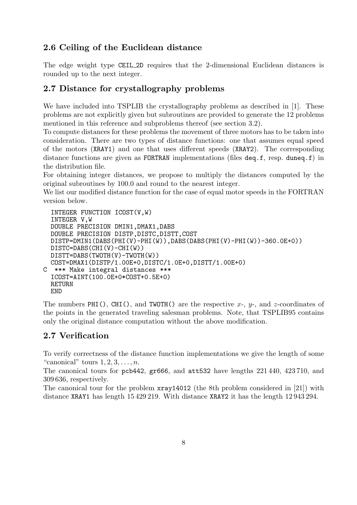## 2.6 Ceiling of the Euclidean distance

The edge weight type CEIL 2D requires that the 2-dimensional Euclidean distances is rounded up to the next integer.

## 2.7 Distance for crystallography problems

We have included into TSPLIB the crystallography problems as described in [1]. These problems are not explicitly given but subroutines are provided to generate the 12 problems mentioned in this reference and subproblems thereof (see section 3.2).

To compute distances for these problems the movement of three motors has to be taken into consideration. There are two types of distance functions: one that assumes equal speed of the motors (XRAY1) and one that uses different speeds (XRAY2). The corresponding distance functions are given as FORTRAN implementations (files deq.f, resp. duneq.f) in the distribution file.

For obtaining integer distances, we propose to multiply the distances computed by the original subroutines by 100.0 and round to the nearest integer.

We list our modified distance function for the case of equal motor speeds in the FORTRAN version below.

```
INTEGER FUNCTION ICOST(V,W)
  INTEGER V,W
 DOUBLE PRECISION DMIN1,DMAX1,DABS
  DOUBLE PRECISION DISTP,DISTC,DISTT,COST
 DISTP=DMIN1(DABS(PHI(V)-PHI(W)),DABS(DABS(PHI(V)-PHI(W))-360.0E+0))
 DISTC=DABS(CHI(V)-CHI(W))
 DISTT=DABS(TWOTH(V)-TWOTH(W))
  COST=DMAX1(DISTP/1.00E+0,DISTC/1.0E+0,DISTT/1.00E+0)
C *** Make integral distances ***
  ICOST=AINT(100.0E+0*COST+0.5E+0)
  RETURN
 END
```
The numbers PHI(), CHI(), and TWOTH() are the respective x-,  $y$ -, and z-coordinates of the points in the generated traveling salesman problems. Note, that TSPLIB95 contains only the original distance computation without the above modification.

## 2.7 Verification

To verify correctness of the distance function implementations we give the length of some "canonical" tours  $1, 2, 3, \ldots, n$ .

The canonical tours for pcb442, gr666, and att532 have lengths 221 440, 423 710, and 309 636, respectively.

The canonical tour for the problem xray14012 (the 8th problem considered in [21]) with distance XRAY1 has length 15 429 219. With distance XRAY2 it has the length 12 943 294.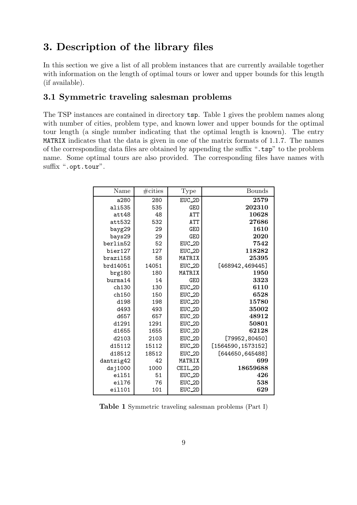## 3. Description of the library files

In this section we give a list of all problem instances that are currently available together with information on the length of optimal tours or lower and upper bounds for this length (if available).

## 3.1 Symmetric traveling salesman problems

The TSP instances are contained in directory tsp. Table 1 gives the problem names along with number of cities, problem type, and known lower and upper bounds for the optimal tour length (a single number indicating that the optimal length is known). The entry MATRIX indicates that the data is given in one of the matrix formats of 1.1.7. The names of the corresponding data files are obtained by appending the suffix ".tsp" to the problem name. Some optimal tours are also provided. The corresponding files have names with suffix ".opt.tour".

| Name      | $\#$ cities | Type       | <b>Bounds</b>      |
|-----------|-------------|------------|--------------------|
| a280      | 280         | EUC_2D     | 2579               |
| ali535    | 535         | <b>GEO</b> | 202310             |
| att48     | 48          | <b>ATT</b> | 10628              |
| att532    | 532         | ATT        | 27686              |
| bayg29    | 29          | <b>GEO</b> | 1610               |
| bays29    | 29          | <b>GEO</b> | 2020               |
| berlin52  | 52          | EUC_2D     | 7542               |
| bier127   | 127         | EUC_2D     | 118282             |
| brazil58  | 58          | MATRIX     | 25395              |
| brd14051  | 14051       | EUC_2D     | [468942,469445]    |
| brg180    | 180         | MATRIX     | 1950               |
| burma14   | 14          | <b>GEO</b> | 3323               |
| ch130     | 130         | EUC_2D     | 6110               |
| ch150     | 150         | EUC_2D     | 6528               |
| d198      | 198         | EUC_2D     | 15780              |
| d493      | 493         | EUC_2D     | 35002              |
| d657      | 657         | EUC_2D     | 48912              |
| d1291     | 1291        | EUC_2D     | 50801              |
| d1655     | 1655        | EUC_2D     | 62128              |
| d2103     | 2103        | EUC_2D     | [79952, 80450]     |
| d15112    | 15112       | EUC_2D     | [1564590, 1573152] |
| d18512    | 18512       | EUC_2D     | [644650, 645488]   |
| dantzig42 | 42          | MATRIX     | 699                |
| dsj1000   | 1000        | CEIL_2D    | 18659688           |
| ei151     | 51          | EUC_2D     | 426                |
| ei176     | 76          | EUC_2D     | 538                |
| ei1101    | 101         | EUC_2D     | 629                |

Table 1 Symmetric traveling salesman problems (Part I)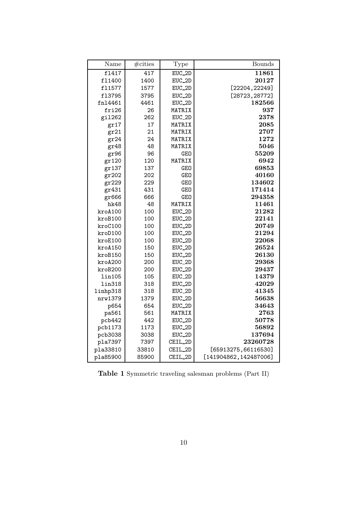| Name     | $# \text{cities}$ | Type       | <b>Bounds</b>         |
|----------|-------------------|------------|-----------------------|
| f1417    | 417               | EUC_2D     | 11861                 |
| f11400   | 1400              | EUC_2D     | 20127                 |
| f11577   | 1577              | EUC_2D     | [22204,22249]         |
| f13795   | 3795              | EUC_2D     | [28723, 28772]        |
| fn14461  | 4461              | EUC_2D     | 182566                |
| fri26    | 26                | MATRIX     | 937                   |
| gi1262   | 262               | EUC_2D     | 2378                  |
| gr17     | 17                | MATRIX     | ${\bf 2085}$          |
| gr21     | 21                | MATRIX     | 2707                  |
| gr24     | 24                | MATRIX     | $1272\,$              |
| gr48     | 48                | MATRIX     | 5046                  |
| gr96     | 96                | <b>GEO</b> | 55209                 |
| gr120    | 120               | MATRIX     | 6942                  |
| gr137    | 137               | <b>GEO</b> | 69853                 |
| gr202    | 202               | <b>GEO</b> | 40160                 |
| gr229    | 229               | <b>GEO</b> | 134602                |
| gr431    | 431               | <b>GEO</b> | 171414                |
| gr666    | 666               | GEO        | 294358                |
| hk48     | 48                | MATRIX     | 11461                 |
| kroA100  | 100               | EUC_2D     | 21282                 |
| kroB100  | 100               | EUC_2D     | 22141                 |
| kroC100  | 100               | EUC_2D     | 20749                 |
| kroD100  | 100               | EUC_2D     | 21294                 |
| kroE100  | 100               | EUC_2D     | 22068                 |
| kroA150  | 150               | EUC_2D     | 26524                 |
| kroB150  | 150               | EUC_2D     | 26130                 |
| kroA200  | 200               | EUC_2D     | 29368                 |
| kroB200  | 200               | EUC_2D     | 29437                 |
| lin105   | 105               | EUC_2D     | 14379                 |
| lin318   | 318               | EUC_2D     | 42029                 |
| linhp318 | 318               | EUC_2D     | 41345                 |
| nrw1379  | 1379              | EUC_2D     | 56638                 |
| p654     | 654               | EUC_2D     | 34643                 |
| pa561    | 561               | MATRIX     | ${\bf 2763}$          |
| pcb442   | 442               | EUC_2D     | 50778                 |
| pcb1173  | 1173              | EUC_2D     | 56892                 |
| pcb3038  | 3038              | EUC_2D     | 137694                |
| pla7397  | 7397              | CEIL_2D    | 23260728              |
| pla33810 | 33810             | CEIL_2D    | [65913275, 66116530]  |
| pla85900 | 85900             | CEIL_2D    | [141904862,142487006] |

Table 1 Symmetric traveling salesman problems (Part II)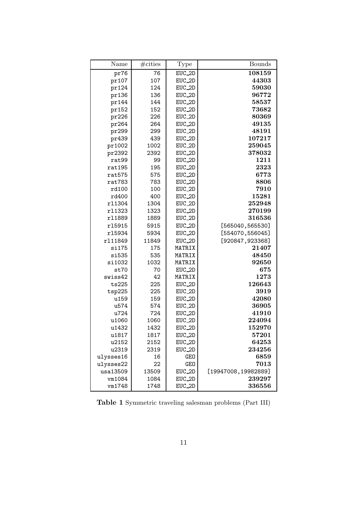| Name      | $\#$ cities | Type       | <b>Bounds</b>       |
|-----------|-------------|------------|---------------------|
| pr76      | 76          | EUC_2D     | 108159              |
| pr107     | 107         | EUC_2D     | 44303               |
| pr124     | 124         | EUC_2D     | 59030               |
| pr136     | 136         | EUC_2D     | 96772               |
| pr144     | 144         | EUC_2D     | 58537               |
| pr152     | 152         | EUC_2D     | 73682               |
| pr226     | 226         | EUC_2D     | 80369               |
| pr264     | 264         | EUC_2D     | 49135               |
| pr299     | 299         | EUC_2D     | 48191               |
| pr439     | 439         | EUC_2D     | 107217              |
| pr1002    | 1002        | EUC_2D     | 259045              |
| pr2392    | 2392        | EUC_2D     | 378032              |
| rat99     | 99          | EUC_2D     | 1211                |
| rat195    | 195         | EUC_2D     | 2323                |
| rat575    | 575         | EUC_2D     | 6773                |
| rat783    | 783         | EUC_2D     | 8806                |
| rd100     | 100         | EUC_2D     | 7910                |
| rd400     | 400         | EUC_2D     | 15281               |
| r11304    | 1304        | EUC_2D     | 252948              |
| r11323    | 1323        | EUC_2D     | 270199              |
| r11889    | 1889        | EUC_2D     | 316536              |
| r15915    | 5915        | EUC_2D     | [565040,565530]     |
| r15934    | 5934        | EUC_2D     | [554070,556045]     |
| r111849   | 11849       | EUC_2D     | [920847,923368]     |
| si175     | 175         | MATRIX     | 21407               |
| si535     | 535         | MATRIX     | 48450               |
| si1032    | 1032        | MATRIX     | 92650               |
| st70      | 70          | EUC_2D     | 675                 |
| swiss42   | 42          | MATRIX     | 1273                |
| ts225     | 225         | EUC_2D     | 126643              |
| tsp225    | 225         | EUC_2D     | 3919                |
| u159      | 159         | EUC_2D     | 42080               |
| u574      | 574         | EUC_2D     | 36905               |
| u724      | 724         | EUC_2D     | 41910               |
| u1060     | 1060        | EUC_2D     | 224094              |
| u1432     | 1432        | EUC_2D     | 152970              |
| u1817     | 1817        | EUC_2D     | 57201               |
| u2152     | 2152        | EUC_2D     | 64253               |
| u2319     | 2319        | EUC_2D     | 234256              |
| ulysses16 | 16          | <b>GEO</b> | 6859                |
| ulysses22 | 22          | <b>GEO</b> | 7013                |
| usa13509  | 13509       | EUC_2D     | [19947008,19982889] |
| vm1084    | 1084        | EUC_2D     | 239297              |
| vm1748    | 1748        | EUC_2D     | 336556              |

Table 1 Symmetric traveling salesman problems (Part III)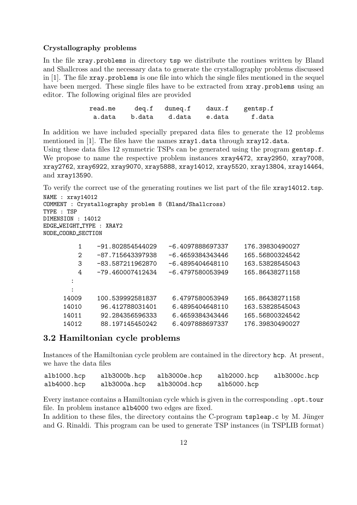#### Crystallography problems

In the file xray.problems in directory tsp we distribute the routines written by Bland and Shallcross and the necessary data to generate the crystallography problems discussed in [1]. The file xray.problems is one file into which the single files mentioned in the sequel have been merged. These single files have to be extracted from  $xray.$ problems using an editor. The following original files are provided

> read.me deq.f duneq.f daux.f gentsp.f a.data b.data d.data e.data f.data

In addition we have included specially prepared data files to generate the 12 problems mentioned in [1]. The files have the names xray1.data through xray12.data.

Using these data files 12 symmetric TSPs can be generated using the program gentsp.f. We propose to name the respective problem instances  $xray4472$ ,  $xray2950$ ,  $xray7008$ , xray2762, xray6922, xray9070, xray5888, xray14012, xray5520, xray13804, xray14464, and xray13590.

To verify the correct use of the generating routines we list part of the file xray14012.tsp.

```
NAME : xray14012
COMMENT : Crystallography problem 8 (Bland/Shallcross)
TYPE : TSP
DIMENSION : 14012
EDGE WEIGHT TYPE : XRAY2
NODE COORD SECTION
        1 -91.802854544029 -6.4097888697337 176.39830490027
        2 -87.715643397938 -6.4659384343446 165.56800324542
        3 -83.587211962870 -6.4895404648110 163.53828545043
        4 -79.460007412434 -6.4797580053949 165.86438271158
      :
      :
    14009 100.539992581837 6.4797580053949 165.86438271158
    14010 96.412788031401 6.4895404648110 163.53828545043
    14011 92.284356596333 6.4659384343446 165.56800324542
    14012 88.197145450242 6.4097888697337 176.39830490027
```
### 3.2 Hamiltonian cycle problems

Instances of the Hamiltonian cycle problem are contained in the directory hcp. At present, we have the data files

| alb1000.hcp | alb3000b.hcp | alb3000e.hcp | alb2000.hcp | alb3000c.hcp |
|-------------|--------------|--------------|-------------|--------------|
| alb4000.hcp | alb3000a.hcp | alb3000d.hcp | alb5000.hcp |              |

Every instance contains a Hamiltonian cycle which is given in the corresponding .opt.tour file. In problem instance alb4000 two edges are fixed.

In addition to these files, the directory contains the C-program  $tspleap.c$  by M. Jünger and G. Rinaldi. This program can be used to generate TSP instances (in TSPLIB format)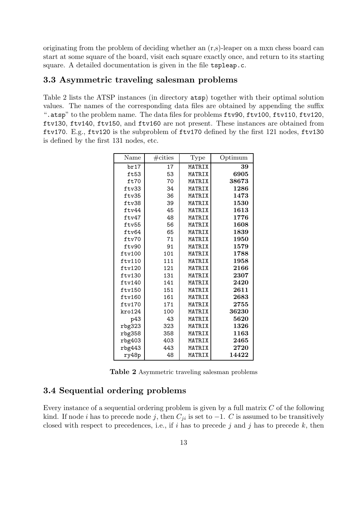originating from the problem of deciding whether an (r,s)-leaper on a mxn chess board can start at some square of the board, visit each square exactly once, and return to its starting square. A detailed documentation is given in the file tspleap.c.

### 3.3 Asymmetric traveling salesman problems

Table 2 lists the ATSP instances (in directory atsp) together with their optimal solution values. The names of the corresponding data files are obtained by appending the suffix ".atsp" to the problem name. The data files for problems ftv90, ftv100, ftv110, ftv120, ftv130, ftv140, ftv150, and ftv160 are not present. These instances are obtained from ftv170. E.g., ftv120 is the subproblem of ftv170 defined by the first 121 nodes, ftv130 is defined by the first 131 nodes, etc.

| Name         | $\#$ cities | Type   | Optimum      |
|--------------|-------------|--------|--------------|
| br17         | 17          | MATRIX | 39           |
| ft53         | 53          | MATRIX | 6905         |
| ft70         | 70          | MATRIX | 38673        |
| fty33        | 34          | MATRIX | 1286         |
| ftv35        | 36          | MATRIX | 1473         |
| fty38        | 39          | MATRIX | 1530         |
| ftv44        | 45          | MATRIX | 1613         |
| ftv47        | 48          | MATRIX | 1776         |
| ftv55        | 56          | MATRIX | 1608         |
| ftv64        | 65          | MATRIX | 1839         |
| ftv70        | 71          | MATRIX | 1950         |
| ftv90        | 91          | MATRIX | 1579         |
| ftv100       | 101         | MATRIX | 1788         |
| ftv110       | 111         | MATRIX | 1958         |
| ftv120       | 121         | MATRIX | 2166         |
| ftv130       | 131         | MATRIX | 2307         |
| ftv140       | 141         | MATRIX | 2420         |
| ftv150       | 151         | MATRIX | ${\bf 2611}$ |
| ftv160       | 161         | MATRIX | 2683         |
| ftv170       | 171         | MATRIX | 2755         |
| $k$ ro $124$ | 100         | MATRIX | 36230        |
| p43          | 43          | MATRIX | 5620         |
| rbg323       | 323         | MATRIX | 1326         |
| rbg358       | 358         | MATRIX | 1163         |
| rbg403       | 403         | MATRIX | 2465         |
| rbg443       | 443         | MATRIX | 2720         |
| ry48p        | 48          | MATRIX | 14422        |

Table 2 Asymmetric traveling salesman problems

### 3.4 Sequential ordering problems

Every instance of a sequential ordering problem is given by a full matrix C of the following kind. If node i has to precede node j, then  $C_{ji}$  is set to  $-1$ . C is assumed to be transitively closed with respect to precedences, i.e., if i has to precede j and j has to precede k, then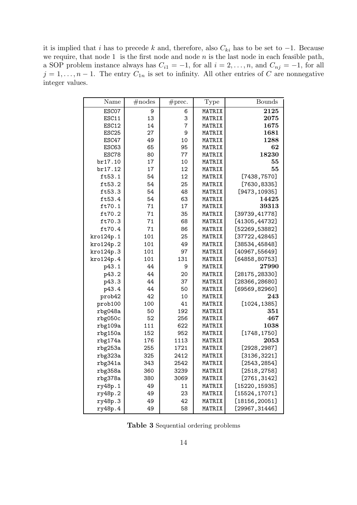it is implied that i has to precede k and, therefore, also  $C_{ki}$  has to be set to -1. Because we require, that node  $1$  is the first node and node  $n$  is the last node in each feasible path, a SOP problem instance always has  $C_{i1} = -1$ , for all  $i = 2, \ldots, n$ , and  $C_{nj} = -1$ , for all  $j = 1, \ldots, n-1$ . The entry  $C_{1n}$  is set to infinity. All other entries of C are nonnegative integer values.

| Name              | #nodes | $\#$ prec.     | Type   | <b>Bounds</b>  |
|-------------------|--------|----------------|--------|----------------|
| ESC07             | 9      | 6              | MATRIX | 2125           |
| ESC11             | 13     | 3              | MATRIX | 2075           |
| ESC12             | 14     | $\overline{7}$ | MATRIX | 1675           |
| ESC <sub>25</sub> | 27     | 9              | MATRIX | 1681           |
| ESC47             | 49     | 10             | MATRIX | 1288           |
| ESC63             | 65     | 95             | MATRIX | 62             |
| ESC78             | 80     | 77             | MATRIX | 18230          |
| br17.10           | 17     | 10             | MATRIX | 55             |
| br17.12           | 17     | 12             | MATRIX | 55             |
| ft53.1            | 54     | 12             | MATRIX | [7438, 7570]   |
| ft53.2            | 54     | 25             | MATRIX | [7630, 8335]   |
| ft53.3            | 54     | 48             | MATRIX | [9473, 10935]  |
| ft53.4            | 54     | 63             | MATRIX | 14425          |
| ft70.1            | 71     | 17             | MATRIX | 39313          |
| ft70.2            | 71     | 35             | MATRIX | [39739, 41778] |
| ft70.3            | 71     | 68             | MATRIX | [41305,44732]  |
| ft70.4            | 71     | 86             | MATRIX | [52269, 53882] |
| kro124p.1         | 101    | 25             | MATRIX | [37722, 42845] |
| kro124p.2         | 101    | 49             | MATRIX | [38534, 45848] |
| kro124p.3         | 101    | 97             | MATRIX | [40967, 55649] |
| kro124p.4         | 101    | 131            | MATRIX | [64858, 80753] |
| p43.1             | 44     | 9              | MATRIX | 27990          |
| p43.2             | 44     | 20             | MATRIX | [28175, 28330] |
| p43.3             | 44     | 37             | MATRIX | [28366,28680]  |
| p43.4             | 44     | 50             | MATRIX | [69569, 82960] |
| prob42            | 42     | 10             | MATRIX | 243            |
| prob100           | 100    | 41             | MATRIX | [1024, 1385]   |
| rbg048a           | 50     | 192            | MATRIX | 351            |
| rbg050c           | 52     | 256            | MATRIX | 467            |
| rbg109a           | 111    | 622            | MATRIX | 1038           |
| rbg150a           | 152    | 952            | MATRIX | [1748, 1750]   |
| rbg174a           | 176    | 1113           | MATRIX | 2053           |
| rbg253a           | 255    | 1721           | MATRIX | [2928,2987]    |
| rbg323a           | 325    | 2412           | MATRIX | [3136, 3221]   |
| rbg341a           | 343    | 2542           | MATRIX | [2543, 2854]   |
| rbg358a           | 360    | 3239           | MATRIX | [2518, 2758]   |
| rbg378a           | 380    | 3069           | MATRIX | [2761, 3142]   |
| ry48p.1           | 49     | 11             | MATRIX | [15220, 15935] |
| ry48p.2           | 49     | 23             | MATRIX | [15524, 17071] |
| ry48p.3           | 49     | 42             | MATRIX | [18156, 20051] |
| ry48p.4           | 49     | 58             | MATRIX | [29967, 31446] |

Table 3 Sequential ordering problems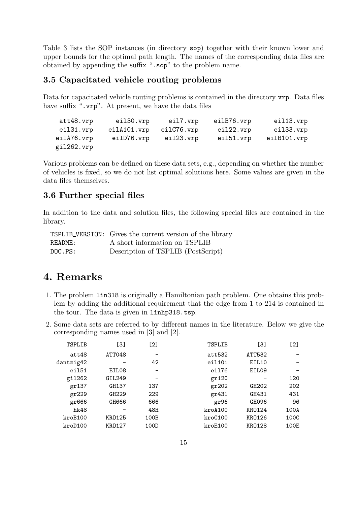Table 3 lists the SOP instances (in directory sop) together with their known lower and upper bounds for the optimal path length. The names of the corresponding data files are obtained by appending the suffix ".sop" to the problem name.

## 3.5 Capacitated vehicle routing problems

Data for capacitated vehicle routing problems is contained in the directory vrp. Data files have suffix ".vrp". At present, we have the data files

att48.vrp eil30.vrp eil7.vrp eilB76.vrp eil13.vrp eil31.vrp eilA101.vrp eilC76.vrp eil22.vrp eil33.vrp eilA76.vrp eilD76.vrp eil23.vrp eil51.vrp eilB101.vrp gil262.vrp

Various problems can be defined on these data sets, e.g., depending on whether the number of vehicles is fixed, so we do not list optimal solutions here. Some values are given in the data files themselves.

### 3.6 Further special files

In addition to the data and solution files, the following special files are contained in the library.

|          | <b>TSPLIB_VERSION:</b> Gives the current version of the library |
|----------|-----------------------------------------------------------------|
| README : | A short information on TSPLIB                                   |
| DOC.PS:  | Description of TSPLIB (PostScript)                              |

## 4. Remarks

- 1. The problem lin318 is originally a Hamiltonian path problem. One obtains this problem by adding the additional requirement that the edge from 1 to 214 is contained in the tour. The data is given in linhp318.tsp.
- 2. Some data sets are referred to by different names in the literature. Below we give the corresponding names used in [3] and [2].

| TSPLIB    | [3]               | [2]  | TSPLIB  | [3]               | [2]  |
|-----------|-------------------|------|---------|-------------------|------|
| att48     | ATT048            | -    | att532  | ATT532            |      |
| dantzig42 |                   | 42   | ei1101  | EIL10             |      |
| ei151     | EIL08             | -    | ei176   | EIL09             |      |
| gil262    | GIL249            |      | gr120   |                   | 120  |
| gr137     | GH137             | 137  | gr202   | GH <sub>202</sub> | 202  |
| gr229     | GH <sub>229</sub> | 229  | gr431   | GH431             | 431  |
| gr666     | GH666             | 666  | gr96    | GH096             | 96   |
| hk48      |                   | 48H  | kroA100 | KR0124            | 100A |
| kroB100   | KR0125            | 100B | kroC100 | KR0126            | 100C |
| kroD100   | KR0127            | 100D | kroE100 | KR0128            | 100E |